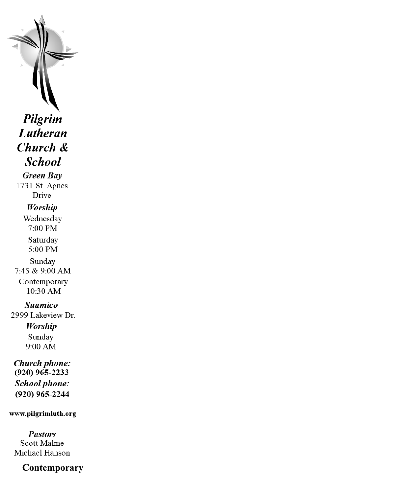

#### www.pilgrimluth.org

**Pastors Scott Malme** Michael Hanson

#### **Contemporary**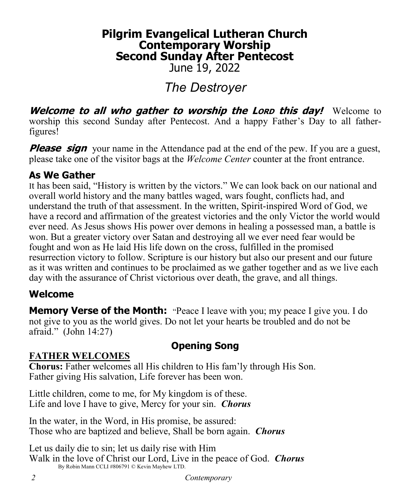# **Pilgrim Evangelical Lutheran Church Contemporary Worship Second Sunday After Pentecost**

June 19, 2022

# *The Destroyer*

*Welcome to all who gather to worship the Lorp this day!* **Welcome to** worship this second Sunday after Pentecost. And a happy Father's Day to all fatherfigures!

**Please sign** your name in the Attendance pad at the end of the pew. If you are a guest, please take one of the visitor bags at the *Welcome Center* counter at the front entrance.

#### **As We Gather**

It has been said, "History is written by the victors." We can look back on our national and overall world history and the many battles waged, wars fought, conflicts had, and understand the truth of that assessment. In the written, Spirit-inspired Word of God, we have a record and affirmation of the greatest victories and the only Victor the world would ever need. As Jesus shows His power over demons in healing a possessed man, a battle is won. But a greater victory over Satan and destroying all we ever need fear would be fought and won as He laid His life down on the cross, fulfilled in the promised resurrection victory to follow. Scripture is our history but also our present and our future as it was written and continues to be proclaimed as we gather together and as we live each day with the assurance of Christ victorious over death, the grave, and all things.

#### **Welcome**

**Memory Verse of the Month:** "Peace I leave with you; my peace I give you. I do not give to you as the world gives. Do not let your hearts be troubled and do not be afraid." (John 14:27)

# **Opening Song**

#### **FATHER WELCOMES**

**Chorus:** Father welcomes all His children to His fam'ly through His Son. Father giving His salvation, Life forever has been won.

Little children, come to me, for My kingdom is of these. Life and love I have to give, Mercy for your sin. *Chorus*

In the water, in the Word, in His promise, be assured: Those who are baptized and believe, Shall be born again. *Chorus*

Let us daily die to sin; let us daily rise with Him Walk in the love of Christ our Lord, Live in the peace of God. *Chorus* By Robin Mann CCLI #806791 © Kevin Mayhew LTD.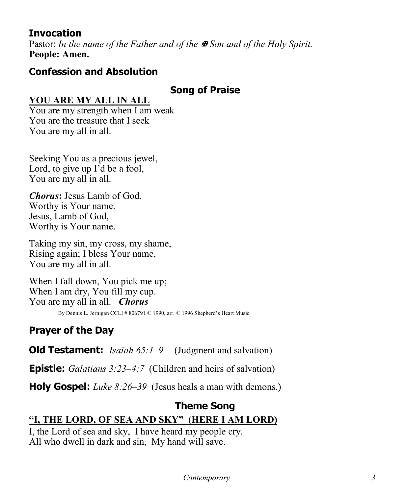### **Invocation**

Pastor: *In the name of the Father and of the Son and of the Holy Spirit.* **People: Amen.**

# **Confession and Absolution**

# **Song of Praise**

### **YOU ARE MY ALL IN ALL**

You are my strength when I am weak You are the treasure that I seek You are my all in all.

Seeking You as a precious jewel, Lord, to give up I'd be a fool, You are my all in all.

*Chorus***:** Jesus Lamb of God, Worthy is Your name. Jesus, Lamb of God, Worthy is Your name.

Taking my sin, my cross, my shame, Rising again; I bless Your name, You are my all in all.

When I fall down, You pick me up; When I am dry, You fill my cup. You are my all in all. *Chorus*

By Dennis L. Jernigan CCLI # 806791 © 1990, arr. © 1996 Shepherd's Heart Music

# **Prayer of the Day**

**Old Testament:** *Isaiah 65:1–9* (Judgment and salvation)

**Epistle:** *Galatians 3:23–4:7* (Children and heirs of salvation)

**Holy Gospel:** *Luke 8:26–39* (Jesus heals a man with demons.)

#### **Theme Song**

# **"I, THE LORD, OF SEA AND SKY" (HERE I AM LORD)**

I, the Lord of sea and sky, I have heard my people cry. All who dwell in dark and sin, My hand will save.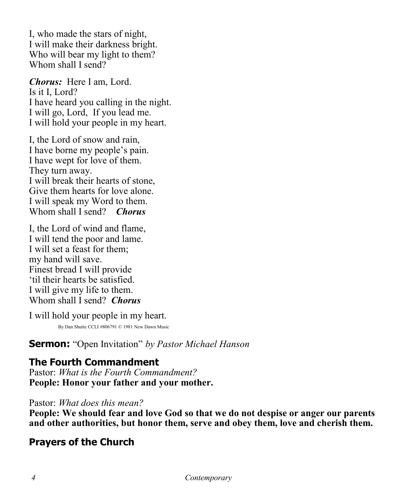I, who made the stars of night, I will make their darkness bright. Who will bear my light to them? Whom shall I send?

*Chorus:*Here I am, Lord. Is it I, Lord? I have heard you calling in the night. I will go, Lord, If you lead me. I will hold your people in my heart.

I, the Lord of snow and rain, I have borne my people's pain. I have wept for love of them. They turn away. I will break their hearts of stone, Give them hearts for love alone. I will speak my Word to them. Whom shall I send? *Chorus*

I, the Lord of wind and flame, I will tend the poor and lame. I will set a feast for them; my hand will save. Finest bread I will provide 'til their hearts be satisfied. I will give my life to them. Whom shall I send? *Chorus*

I will hold your people in my heart. By Dan Shutte CCLI #806791 © 1981 New Dawn Music

**Sermon:** "Open Invitation" *by Pastor Michael Hanson*

### **The Fourth Commandment**

Pastor: *What is the Fourth Commandment?* **People: Honor your father and your mother.**

Pastor: *What does this mean?* **People: We should fear and love God so that we do not despise or anger our parents and other authorities, but honor them, serve and obey them, love and cherish them.**

### **Prayers of the Church**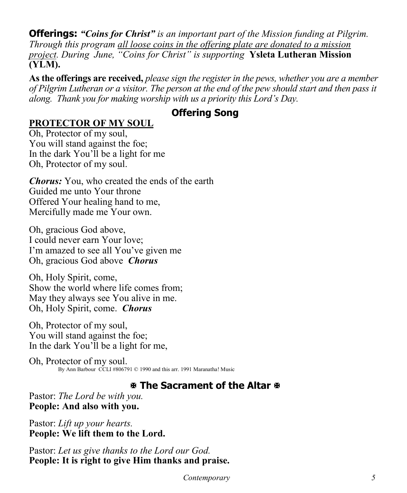**Offerings:** *"Coins for Christ" is an important part of the Mission funding at Pilgrim. Through this program all loose coins in the offering plate are donated to a mission project. During June, "Coins for Christ" is supporting* **Ysleta Lutheran Mission (YLM).**

**As the offerings are received,** *please sign the register in the pews, whether you are a member of Pilgrim Lutheran or a visitor. The person at the end of the pew should start and then pass it along. Thank you for making worship with us a priority this Lord's Day.*

### **Offering Song**

#### **PROTECTOR OF MY SOUL**

Oh, Protector of my soul, You will stand against the foe; In the dark You'll be a light for me Oh, Protector of my soul.

*Chorus:* You, who created the ends of the earth Guided me unto Your throne Offered Your healing hand to me, Mercifully made me Your own.

Oh, gracious God above, I could never earn Your love; I'm amazed to see all You've given me Oh, gracious God above *Chorus*

Oh, Holy Spirit, come, Show the world where life comes from; May they always see You alive in me. Oh, Holy Spirit, come. *Chorus*

Oh, Protector of my soul, You will stand against the foe; In the dark You'll be a light for me,

Oh, Protector of my soul. By Ann Barbour CCLI #806791 © 1990 and this arr. 1991 Maranatha! Music

#### **The Sacrament of the Altar**

Pastor: *The Lord be with you.* **People: And also with you.**

Pastor: *Lift up your hearts.* **People: We lift them to the Lord.**

Pastor: *Let us give thanks to the Lord our God.* **People: It is right to give Him thanks and praise.**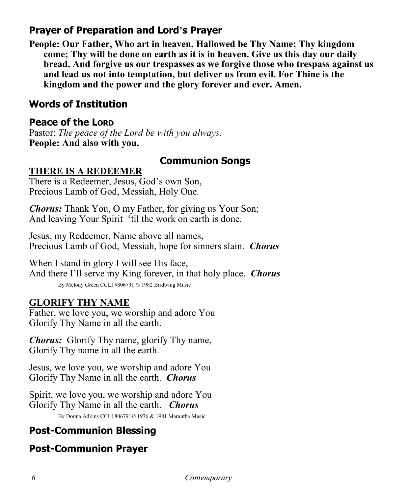# **Prayer of Preparation and Lord's Prayer**

**People: Our Father, Who art in heaven, Hallowed be Thy Name; Thy kingdom come; Thy will be done on earth as it is in heaven. Give us this day our daily bread. And forgive us our trespasses as we forgive those who trespass against us and lead us not into temptation, but deliver us from evil. For Thine is the kingdom and the power and the glory forever and ever. Amen.**

### **Words of Institution**

#### **Peace of the LORD**

Pastor: *The peace of the Lord be with you always.* **People: And also with you.**

# **Communion Songs**

#### **THERE IS A REDEEMER**

There is a Redeemer, Jesus, God's own Son, Precious Lamb of God, Messiah, Holy One.

*Chorus:* Thank You, O my Father, for giving us Your Son; And leaving Your Spirit 'til the work on earth is done.

Jesus, my Redeemer, Name above all names, Precious Lamb of God, Messiah, hope for sinners slain. *Chorus*

When I stand in glory I will see His face, And there I'll serve my King forever, in that holy place. *Chorus*

By Melody Green CCLI #806791 © 1982 Birdwing Music

#### **GLORIFY THY NAME**

Father, we love you, we worship and adore You Glorify Thy Name in all the earth.

*Chorus:* Glorify Thy name, glorify Thy name, Glorify Thy name in all the earth.

Jesus, we love you, we worship and adore You Glorify Thy Name in all the earth. *Chorus*

Spirit, we love you, we worship and adore You Glorify Thy Name in all the earth. *Chorus*

By Donna Adkins CCLI 806791© 1976 & 1981 Marantha Music

# **Post-Communion Blessing**

# **Post-Communion Prayer**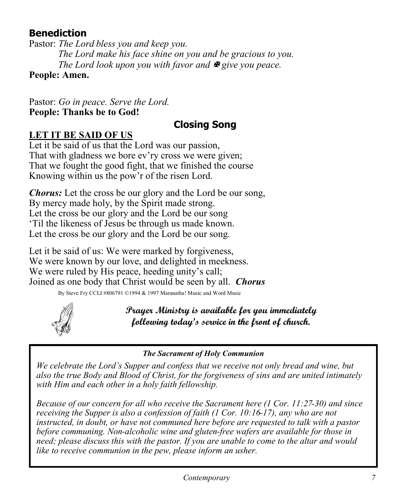### **Benediction**

Pastor: *The Lord bless you and keep you. The Lord make his face shine on you and be gracious to you. The Lord look upon you with favor and*  $\mathbf{\Psi}$  *give you peace.* 

**People: Amen.**

Pastor: *Go in peace. Serve the Lord.* **People: Thanks be to God!**

# **Closing Song**

#### **LET IT BE SAID OF US**

Let it be said of us that the Lord was our passion, That with gladness we bore ev'ry cross we were given; That we fought the good fight, that we finished the course Knowing within us the pow'r of the risen Lord.

*Chorus:* Let the cross be our glory and the Lord be our song, By mercy made holy, by the Spirit made strong. Let the cross be our glory and the Lord be our song 'Til the likeness of Jesus be through us made known. Let the cross be our glory and the Lord be our song.

Let it be said of us: We were marked by forgiveness, We were known by our love, and delighted in meekness. We were ruled by His peace, heeding unity's call; Joined as one body that Christ would be seen by all. *Chorus*

By Steve Fry CCLI #806791 ©1994 & 1997 Maranatha! Music and Word Music



**Prayer Ministry is available for you immediately following today's service in the front of church.** 

#### *The Sacrament of Holy Communion*

*We celebrate the Lord's Supper and confess that we receive not only bread and wine, but also the true Body and Blood of Christ, for the forgiveness of sins and are united intimately with Him and each other in a holy faith fellowship.*

*Because of our concern for all who receive the Sacrament here (1 Cor. 11:27-30) and since receiving the Supper is also a confession of faith (1 Cor. 10:16-17), any who are not instructed, in doubt, or have not communed here before are requested to talk with a pastor before communing. Non-alcoholic wine and gluten-free wafers are available for those in need; please discuss this with the pastor. If you are unable to come to the altar and would like to receive communion in the pew, please inform an usher.*